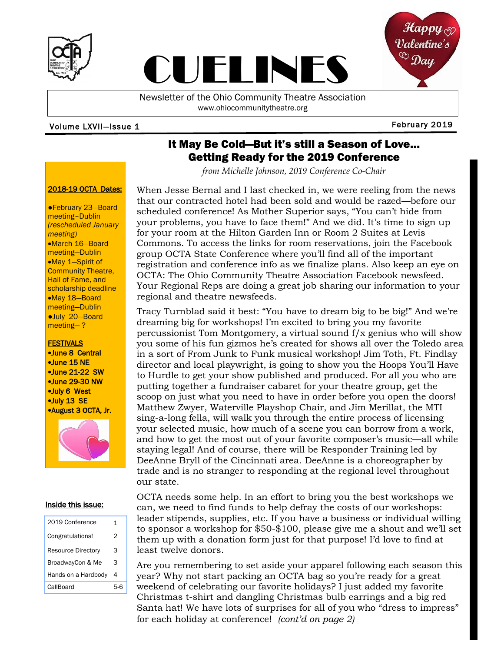



Newsletter of the Ohio Community Theatre Association www.ohiocommunitytheatre.org

CUELINES

#### Volume LXVII— February 2019 Issue 1

## It May Be Cold—But it's still a Season of Love… Getting Ready for the 2019 Conference

*from Michelle Johnson, 2019 Conference Co-Chair*

#### 2018-19 OCTA Dates:

●February 23—Board meeting–Dublin *(rescheduled January meeting)* •March 16—Board meeting—Dublin •May 1—Spirit of Community Theatre, Hall of Fame, and scholarship deadline •May 18—Board meeting—Dublin ●July 20—Board meeting— ?

## **FESTIVALS**

•June 8 Central •June 15 NE •June 21-22 SW •June 29-30 NW •July 6 West •July 13 SE •August 3 OCTA, Jr.



#### Inside this issue:

| 2019 Conference           | 1 |
|---------------------------|---|
| Congratulations!          | 2 |
| <b>Resource Directory</b> | 3 |
| BroadwayCon & Me          | 3 |
| Hands on a Hardbody       | 4 |
| CallBoard                 |   |

When Jesse Bernal and I last checked in, we were reeling from the news that our contracted hotel had been sold and would be razed—before our scheduled conference! As Mother Superior says, "You can't hide from your problems, you have to face them!" And we did. It's time to sign up for your room at the Hilton Garden Inn or Room 2 Suites at Levis Commons. To access the links for room reservations, join the Facebook group OCTA State Conference where you'll find all of the important registration and conference info as we finalize plans. Also keep an eye on OCTA: The Ohio Community Theatre Association Facebook newsfeed. Your Regional Reps are doing a great job sharing our information to your regional and theatre newsfeeds.

Tracy Turnblad said it best: "You have to dream big to be big!" And we're dreaming big for workshops! I'm excited to bring you my favorite percussionist Tom Montgomery, a virtual sound  $f/x$  genius who will show you some of his fun gizmos he's created for shows all over the Toledo area in a sort of From Junk to Funk musical workshop! Jim Toth, Ft. Findlay director and local playwright, is going to show you the Hoops You'll Have to Hurdle to get your show published and produced. For all you who are putting together a fundraiser cabaret for your theatre group, get the scoop on just what you need to have in order before you open the doors! Matthew Zwyer, Waterville Playshop Chair, and Jim Merillat, the MTI sing-a-long fella, will walk you through the entire process of licensing your selected music, how much of a scene you can borrow from a work, and how to get the most out of your favorite composer's music—all while staying legal! And of course, there will be Responder Training led by DeeAnne Bryll of the Cincinnati area. DeeAnne is a choreographer by trade and is no stranger to responding at the regional level throughout our state.

OCTA needs some help. In an effort to bring you the best workshops we can, we need to find funds to help defray the costs of our workshops: leader stipends, supplies, etc. If you have a business or individual willing to sponsor a workshop for \$50-\$100, please give me a shout and we'll set them up with a donation form just for that purpose! I'd love to find at least twelve donors.

Are you remembering to set aside your apparel following each season this year? Why not start packing an OCTA bag so you're ready for a great weekend of celebrating our favorite holidays? I just added my favorite Christmas t-shirt and dangling Christmas bulb earrings and a big red Santa hat! We have lots of surprises for all of you who "dress to impress" for each holiday at conference! *(cont'd on page 2)*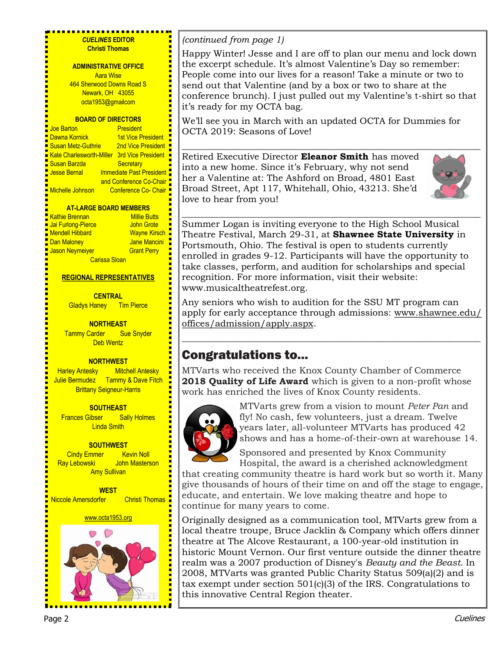| <b>CUELINES EDITOR</b><br><b>Christi Thomas</b><br><b>ADMINISTRATIVE OFFICE</b><br><b>Aara Wise</b><br>464 Sherwood Downs Road S<br>Newark, OH 43055<br>octa1953@gmailcom<br><b>BOARD OF DIRECTORS</b>                                                                                                                                         | (continued from page 1)<br>Happy Winter! Jesse and I are off to plan our menu and lock down<br>the excerpt schedule. It's almost Valentine's Day so remember:<br>People come into our lives for a reason! Take a minute or two to<br>send out that Valentine (and by a box or two to share at the<br>conference brunch). I just pulled out my Valentine's t-shirt so that<br>it's ready for my OCTA bag.<br>We'll see you in March with an updated OCTA for Dummies for |
|------------------------------------------------------------------------------------------------------------------------------------------------------------------------------------------------------------------------------------------------------------------------------------------------------------------------------------------------|-------------------------------------------------------------------------------------------------------------------------------------------------------------------------------------------------------------------------------------------------------------------------------------------------------------------------------------------------------------------------------------------------------------------------------------------------------------------------|
| <b>Joe Barton</b><br><b>President</b><br>Dawna Kornick<br><b>1st Vice President</b><br><b>Susan Metz-Guthrie</b><br>2nd Vice President ■<br>Kate Charlesworth-Miller 3rd Vice President<br>Susan Barzda<br>Secretary<br>Immediate Past President<br><b>Jesse Bernal</b><br>and Conference Co-Chair<br>Conference Co- Chair<br>Michelle Johnson | OCTA 2019: Seasons of Love!<br>Retired Executive Director Eleanor Smith has moved<br>into a new home. Since it's February, why not send<br>her a Valentine at: The Ashford on Broad, 4801 East<br>Broad Street, Apt 117, Whitehall, Ohio, 43213. She'd<br>love to hear from you!                                                                                                                                                                                        |
| <b>AT-LARGE BOARD MEMBERS</b><br><b>Kathie Brennan</b><br><b>Millie Butts</b><br>Jai Furlong-Pierce<br>John Grote<br><b>Mendell Hibbard</b><br>Wayne Kirsch<br>Jane Mancini<br>Dan Maloney<br>Jason Neymeiyer<br><b>Grant Perry</b><br><b>Carissa Sloan</b><br><b>REGIONAL REPRESENTATIVES</b>                                                 | Summer Logan is inviting everyone to the High School Musical<br>Theatre Festival, March 29-31, at Shawnee State University in<br>Portsmouth, Ohio. The festival is open to students currently<br>enrolled in grades 9-12. Participants will have the opportunity to<br>take classes, perform, and audition for scholarships and special<br>recognition. For more information, visit their website:<br>www.musicaltheatrefest.org.                                       |
| <b>CENTRAL</b><br><b>Gladys Haney</b><br><b>Tim Pierce</b><br><b>NORTHEAST</b><br><b>Tammy Carder</b><br><b>Sue Snyder</b><br><b>Deb Wentz</b>                                                                                                                                                                                                 | Any seniors who wish to audition for the SSU MT program can<br>apply for early acceptance through admissions: www.shawnee.edu/<br>offices/admission/apply.aspx.                                                                                                                                                                                                                                                                                                         |
| <b>NORTHWEST</b><br><b>Harley Antesky</b> Mitchell Antesky<br>Julie Bermudez Tammy & Dave Fitch<br><b>Brittany Seigneur-Harris</b>                                                                                                                                                                                                             | <b>Congratulations to</b><br>MTVarts who received the Knox County Chamber of Commerce<br>2018 Quality of Life Award which is given to a non-profit whose<br>work has enriched the lives of Knox County residents.                                                                                                                                                                                                                                                       |
| <b>SOUTHEAST</b><br><b>Frances Gibser</b><br><b>Sally Holmes</b><br><b>Linda Smith</b>                                                                                                                                                                                                                                                         | MTVarts grew from a vision to mount Peter Pan and<br>fly! No cash, few volunteers, just a dream. Twelve<br>years later, all-volunteer MTVarts has produced 42                                                                                                                                                                                                                                                                                                           |



years later, all-volunteer MTVarts has produced 42 shows and has a home-of-their-own at warehouse 14.

Sponsored and presented by Knox Community Hospital, the award is a cherished acknowledgment

that creating community theatre is hard work but so worth it. Many give thousands of hours of their time on and off the stage to engage, educate, and entertain. We love making theatre and hope to continue for many years to come.

Originally designed as a communication tool, MTVarts grew from a local theatre troupe, Bruce Jacklin & Company which offers dinner theatre at The Alcove Restaurant, a 100-year-old institution in historic Mount Vernon. Our first venture outside the dinner theatre realm was a 2007 production of Disney's *Beauty and the Beast*. In 2008, MTVarts was granted Public Charity Status 509(a)(2) and is tax exempt under section 501(c)(3) of the IRS. Congratulations to this innovative Central Region theater.

H

**SOUTHWEST Cindy Emmer** Kevin Noll Ray Lebowski John Masterson Amy Sullivan

**WEST** Niccole Amersdorfer Christi Thomas

www.octa1953.org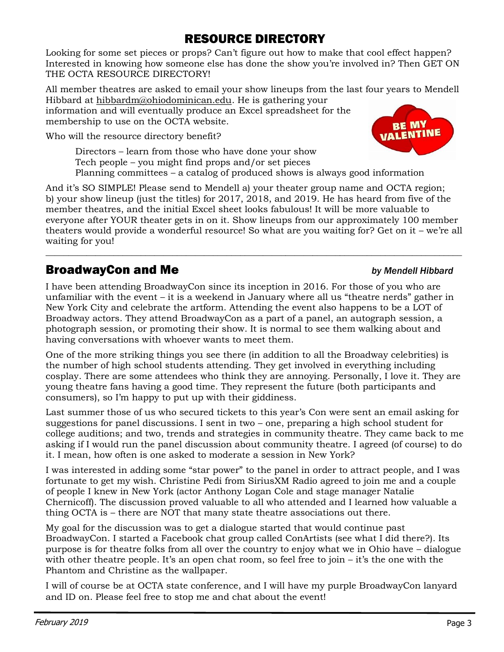# RESOURCE DIRECTORY

Looking for some set pieces or props? Can't figure out how to make that cool effect happen? Interested in knowing how someone else has done the show you're involved in? Then GET ON THE OCTA RESOURCE DIRECTORY!

All member theatres are asked to email your show lineups from the last four years to Mendell Hibbard at [hibbardm@ohiodominican.edu.](mailto:hibbardm@ohiodominican.edu) He is gathering your

information and will eventually produce an Excel spreadsheet for the membership to use on the OCTA website.

Who will the resource directory benefit?

Directors – learn from those who have done your show Tech people – you might find props and/or set pieces Planning committees – a catalog of produced shows is always good information

And it's SO SIMPLE! Please send to Mendell a) your theater group name and OCTA region; b) your show lineup (just the titles) for 2017, 2018, and 2019. He has heard from five of the member theatres, and the initial Excel sheet looks fabulous! It will be more valuable to everyone after YOUR theater gets in on it. Show lineups from our approximately 100 member theaters would provide a wonderful resource! So what are you waiting for? Get on it – we're all waiting for you!

 $\_$  , and the set of the set of the set of the set of the set of the set of the set of the set of the set of the set of the set of the set of the set of the set of the set of the set of the set of the set of the set of th

# **BroadwayCon and Me by Mendell Hibbard**

I have been attending BroadwayCon since its inception in 2016. For those of you who are unfamiliar with the event – it is a weekend in January where all us "theatre nerds" gather in New York City and celebrate the artform. Attending the event also happens to be a LOT of Broadway actors. They attend BroadwayCon as a part of a panel, an autograph session, a photograph session, or promoting their show. It is normal to see them walking about and having conversations with whoever wants to meet them.

One of the more striking things you see there (in addition to all the Broadway celebrities) is the number of high school students attending. They get involved in everything including cosplay. There are some attendees who think they are annoying. Personally, I love it. They are young theatre fans having a good time. They represent the future (both participants and consumers), so I'm happy to put up with their giddiness.

Last summer those of us who secured tickets to this year's Con were sent an email asking for suggestions for panel discussions. I sent in two – one, preparing a high school student for college auditions; and two, trends and strategies in community theatre. They came back to me asking if I would run the panel discussion about community theatre. I agreed (of course) to do it. I mean, how often is one asked to moderate a session in New York?

I was interested in adding some "star power" to the panel in order to attract people, and I was fortunate to get my wish. Christine Pedi from SiriusXM Radio agreed to join me and a couple of people I knew in New York (actor Anthony Logan Cole and stage manager Natalie Chernicoff). The discussion proved valuable to all who attended and I learned how valuable a thing OCTA is – there are NOT that many state theatre associations out there.

My goal for the discussion was to get a dialogue started that would continue past BroadwayCon. I started a Facebook chat group called ConArtists (see what I did there?). Its purpose is for theatre folks from all over the country to enjoy what we in Ohio have – dialogue with other theatre people. It's an open chat room, so feel free to join – it's the one with the Phantom and Christine as the wallpaper.

I will of course be at OCTA state conference, and I will have my purple BroadwayCon lanyard and ID on. Please feel free to stop me and chat about the event!

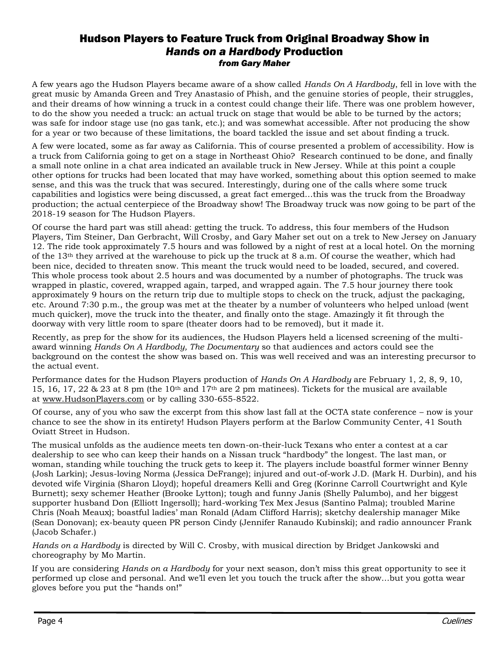## Hudson Players to Feature Truck from Original Broadway Show in *Hands on a Hardbody* Production *from Gary Maher*

A few years ago the Hudson Players became aware of a show called *Hands On A Hardbody*, fell in love with the great music by Amanda Green and Trey Anastasio of Phish, and the genuine stories of people, their struggles, and their dreams of how winning a truck in a contest could change their life. There was one problem however, to do the show you needed a truck: an actual truck on stage that would be able to be turned by the actors; was safe for indoor stage use (no gas tank, etc.); and was somewhat accessible. After not producing the show for a year or two because of these limitations, the board tackled the issue and set about finding a truck.

A few were located, some as far away as California. This of course presented a problem of accessibility. How is a truck from California going to get on a stage in Northeast Ohio? Research continued to be done, and finally a small note online in a chat area indicated an available truck in New Jersey. While at this point a couple other options for trucks had been located that may have worked, something about this option seemed to make sense, and this was the truck that was secured. Interestingly, during one of the calls where some truck capabilities and logistics were being discussed, a great fact emerged…this was the truck from the Broadway production; the actual centerpiece of the Broadway show! The Broadway truck was now going to be part of the 2018-19 season for The Hudson Players.

Of course the hard part was still ahead: getting the truck. To address, this four members of the Hudson Players, Tim Steiner, Dan Gerbracht, Will Crosby, and Gary Maher set out on a trek to New Jersey on January 12. The ride took approximately 7.5 hours and was followed by a night of rest at a local hotel. On the morning of the 13th they arrived at the warehouse to pick up the truck at 8 a.m. Of course the weather, which had been nice, decided to threaten snow. This meant the truck would need to be loaded, secured, and covered. This whole process took about 2.5 hours and was documented by a number of photographs. The truck was wrapped in plastic, covered, wrapped again, tarped, and wrapped again. The 7.5 hour journey there took approximately 9 hours on the return trip due to multiple stops to check on the truck, adjust the packaging, etc. Around 7:30 p.m., the group was met at the theater by a number of volunteers who helped unload (went much quicker), move the truck into the theater, and finally onto the stage. Amazingly it fit through the doorway with very little room to spare (theater doors had to be removed), but it made it.

Recently, as prep for the show for its audiences, the Hudson Players held a licensed screening of the multiaward winning *Hands On A Hardbody, The Documentary* so that audiences and actors could see the background on the contest the show was based on. This was well received and was an interesting precursor to the actual event.

Performance dates for the Hudson Players production of *Hands On A Hardbody* are February 1, 2, 8, 9, 10, 15, 16, 17, 22 & 23 at 8 pm (the 10th and 17th are 2 pm matinees). Tickets for the musical are available at [www.HudsonPlayers.com](http://www.hudsonplayers.com/) or by calling 330-655-8522.

Of course, any of you who saw the excerpt from this show last fall at the OCTA state conference – now is your chance to see the show in its entirety! Hudson Players perform at the Barlow Community Center, 41 South Oviatt Street in Hudson.

The musical unfolds as the audience meets ten down-on-their-luck Texans who enter a contest at a car dealership to see who can keep their hands on a Nissan truck "hardbody" the longest. The last man, or woman, standing while touching the truck gets to keep it. The players include boastful former winner Benny (Josh Larkin); Jesus-loving Norma (Jessica DeFrange); injured and out-of-work J.D. (Mark H. Durbin), and his devoted wife Virginia (Sharon Lloyd); hopeful dreamers Kelli and Greg (Korinne Carroll Courtwright and Kyle Burnett); sexy schemer Heather (Brooke Lytton); tough and funny Janis (Shelly Palumbo), and her biggest supporter husband Don (Elliott Ingersoll); hard-working Tex Mex Jesus (Santino Palma); troubled Marine Chris (Noah Meaux); boastful ladies' man Ronald (Adam Clifford Harris); sketchy dealership manager Mike (Sean Donovan); ex-beauty queen PR person Cindy (Jennifer Ranaudo Kubinski); and radio announcer Frank (Jacob Schafer.)

*Hands on a Hardbody* is directed by Will C. Crosby, with musical direction by Bridget Jankowski and choreography by Mo Martin.

If you are considering *Hands on a Hardbody* for your next season, don't miss this great opportunity to see it performed up close and personal. And we'll even let you touch the truck after the show…but you gotta wear gloves before you put the "hands on!"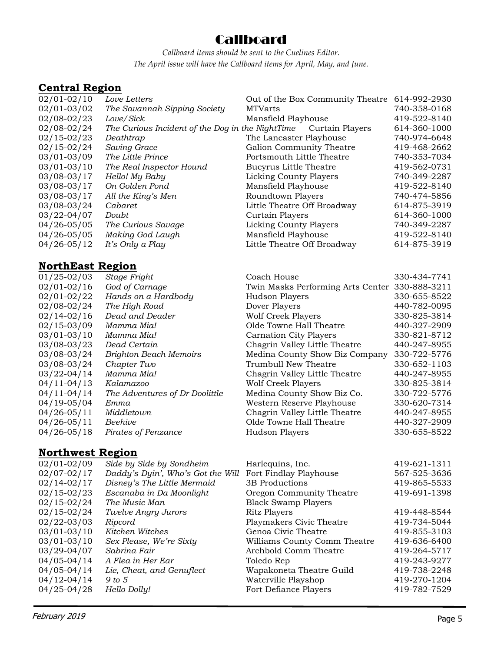## **Callboard**

*Callboard items should be sent to the Cuelines Editor. The April issue will have the Callboard items for April, May, and June.* 

## **Central Region**

| $02/01 - 02/10$ | Love Letters                                     | Out of the Box Community Theatre | 614-992-2930 |
|-----------------|--------------------------------------------------|----------------------------------|--------------|
| $02/01 - 03/02$ | The Savannah Sipping Society                     | <b>MTVarts</b>                   | 740-358-0168 |
| $02/08 - 02/23$ | Love/Sick                                        | Mansfield Playhouse              | 419-522-8140 |
| $02/08 - 02/24$ | The Curious Incident of the Dog in the NightTime | Curtain Players                  | 614-360-1000 |
| $02/15 - 02/23$ | Deathtrap                                        | The Lancaster Playhouse          | 740-974-6648 |
| $02/15 - 02/24$ | Saving Grace                                     | Galion Community Theatre         | 419-468-2662 |
| $03/01 - 03/09$ | The Little Prince                                | Portsmouth Little Theatre        | 740-353-7034 |
| $03/01 - 03/10$ | The Real Inspector Hound                         | Bucyrus Little Theatre           | 419-562-0731 |
| $03/08 - 03/17$ | Hello! My Baby                                   | Licking County Players           | 740-349-2287 |
| $03/08 - 03/17$ | On Golden Pond                                   | Mansfield Playhouse              | 419-522-8140 |
| $03/08 - 03/17$ | All the King's Men                               | Roundtown Players                | 740-474-5856 |
| 03/08-03/24     | Cabaret                                          | Little Theatre Off Broadway      | 614-875-3919 |
| $03/22 - 04/07$ | Doubt                                            | Curtain Players                  | 614-360-1000 |
| $04/26 - 05/05$ | The Curious Savage                               | Licking County Players           | 740-349-2287 |
| 04/26-05/05     | Making God Laugh                                 | Mansfield Playhouse              | 419-522-8140 |
| $04/26 - 05/12$ | It's Only a Play                                 | Little Theatre Off Broadway      | 614-875-3919 |
|                 |                                                  |                                  |              |

## **NorthEast Region**

| $01/25 - 02/03$ | Stage Fright                   | Coach House                                    | 330-434-7741 |
|-----------------|--------------------------------|------------------------------------------------|--------------|
| $02/01 - 02/16$ | God of Carnage                 | Twin Masks Performing Arts Center 330-888-3211 |              |
| $02/01 - 02/22$ | Hands on a Hardbody            | Hudson Players                                 | 330-655-8522 |
| $02/08 - 02/24$ | The High Road                  | Dover Players                                  | 440-782-0095 |
| $02/14 - 02/16$ | Dead and Deader                | <b>Wolf Creek Players</b>                      | 330-825-3814 |
| $02/15 - 03/09$ | Mamma Mia!                     | Olde Towne Hall Theatre                        | 440-327-2909 |
| $03/01 - 03/10$ | Mamma Mia!                     | <b>Carnation City Players</b>                  | 330-821-8712 |
| 03/08-03/23     | Dead Certain                   | Chagrin Valley Little Theatre                  | 440-247-8955 |
| 03/08-03/24     | <b>Brighton Beach Memoirs</b>  | Medina County Show Biz Company                 | 330-722-5776 |
| 03/08-03/24     | Chapter Two                    | Trumbull New Theatre                           | 330-652-1103 |
| $03/22 - 04/14$ | Mamma Mia!                     | Chagrin Valley Little Theatre                  | 440-247-8955 |
| $04/11 - 04/13$ | Kalamazoo                      | <b>Wolf Creek Players</b>                      | 330-825-3814 |
| $04/11 - 04/14$ | The Adventures of Dr Doolittle | Medina County Show Biz Co.                     | 330-722-5776 |
| $04/19 - 05/04$ | Emma                           | Western Reserve Playhouse                      | 330-620-7314 |
| $04/26 - 05/11$ | Middletown                     | Chagrin Valley Little Theatre                  | 440-247-8955 |
| $04/26 - 05/11$ | Beehive                        | Olde Towne Hall Theatre                        | 440-327-2909 |
| $04/26 - 05/18$ | Pirates of Penzance            | Hudson Players                                 | 330-655-8522 |
|                 |                                |                                                |              |

## **Northwest Region**

| $02/01 - 02/09$ | Side by Side by Sondheim          | Harlequins, Inc.             | 419-621-1311 |
|-----------------|-----------------------------------|------------------------------|--------------|
| $02/07 - 02/17$ | Daddy's Dyin', Who's Got the Will | Fort Findlay Playhouse       | 567-525-3636 |
| $02/14 - 02/17$ | Disney's The Little Mermaid       | 3B Productions               | 419-865-5533 |
| $02/15 - 02/23$ | Escanaba in Da Moonlight          | Oregon Community Theatre     | 419-691-1398 |
| $02/15 - 02/24$ | The Music Man                     | <b>Black Swamp Players</b>   |              |
| $02/15 - 02/24$ | Twelve Angry Jurors               | Ritz Players                 | 419-448-8544 |
| $02/22 - 03/03$ | Ripcord                           | Playmakers Civic Theatre     | 419-734-5044 |
| $03/01 - 03/10$ | Kitchen Witches                   | Genoa Civic Theatre          | 419-855-3103 |
| $03/01 - 03/10$ | Sex Please, We're Sixty           | Williams County Comm Theatre | 419-636-6400 |
| $03/29 - 04/07$ | Sabrina Fair                      | Archbold Comm Theatre        | 419-264-5717 |
| $04/05 - 04/14$ | A Flea in Her Ear                 | Toledo Rep                   | 419-243-9277 |
| $04/05 - 04/14$ | Lie, Cheat, and Genuflect         | Wapakoneta Theatre Guild     | 419-738-2248 |
| $04/12 - 04/14$ | 9 to 5                            | Waterville Playshop          | 419-270-1204 |
| 04/25-04/28     | Hello Dolly!                      | Fort Defiance Players        | 419-782-7529 |
|                 |                                   |                              |              |